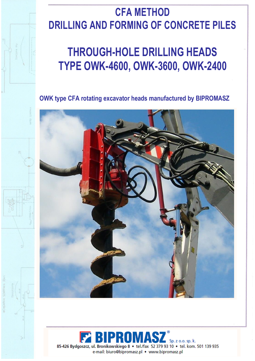## **CFA METHOD DRILLING AND FORMING OF CONCRETE PILES**

## **THROUGH-HOLE DRILLING HEADS TYPE OWK-4600, OWK-3600, OWK-2400**

**OWK type CFA rotating excavator heads manufactured by BIPROMASZ**



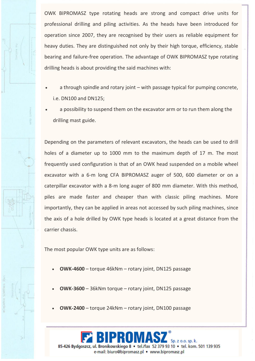OWK BIPROMASZ type rotating heads are strong and compact drive units for professional drilling and piling activities. As the heads have been introduced for operation since 2007, they are recognised by their users as reliable equipment for heavy duties. They are distinguished not only by their high torque, efficiency, stable bearing and failure-free operation. The advantage of OWK BIPROMASZ type rotating drilling heads is about providing the said machines with:

- a through spindle and rotary joint with passage typical for pumping concrete, i.e. DN100 and DN125;
- a possibility to suspend them on the excavator arm or to run them along the drilling mast guide.

Depending on the parameters of relevant excavators, the heads can be used to drill holes of a diameter up to 1000 mm to the maximum depth of 17 m. The most frequently used configuration is that of an OWK head suspended on a mobile wheel excavator with a 6-m long CFA BIPROMASZ auger of 500, 600 diameter or on a caterpillar excavator with a 8-m long auger of 800 mm diameter. With this method, piles are made faster and cheaper than with classic piling machines. More importantly, they can be applied in areas not accessed by such piling machines, since the axis of a hole drilled by OWK type heads is located at a great distance from the carrier chassis.

The most popular OWK type units are as follows:

i<br>S

- **OWK-4600** torque 46kNm rotary joint, DN125 passage
- **OWK-3600** 36kNm torque rotary joint, DN125 passage
- **OWK-2400** torque 24kNm rotary joint, DN100 passage

 $S<sub>D</sub>$ , z o.o. sp. k. 85-426 Bydgoszcz, ul. Bronikowskiego 8 · tel./fax 52 379 93 10 · tel. kom. 501 139 935 e-mail: biuro@bipromasz.pl • www.bipromasz.pl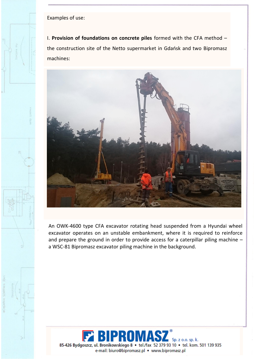Examples of use:

I. **Provision of foundations on concrete piles** formed with the CFA method – the construction site of the Netto supermarket in Gdańsk and two Bipromasz machines:



An OWK-4600 type CFA excavator rotating head suspended from a Hyundai wheel excavator operates on an unstable embankment, where it is required to reinforce and prepare the ground in order to provide access for a caterpillar piling machine – a WSC-81 Bipromasz excavator piling machine in the background.